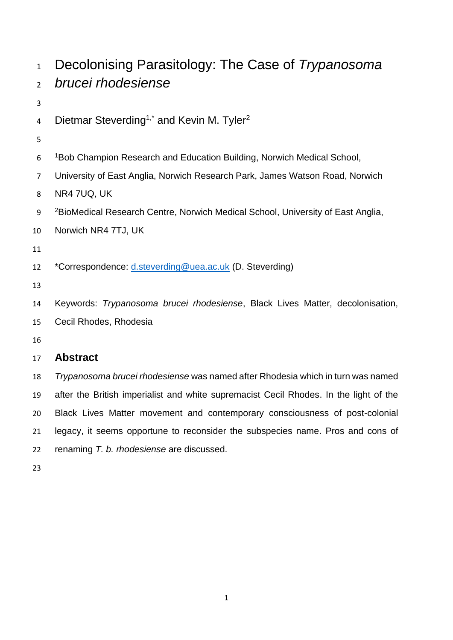| $\mathbf{1}$   | Decolonising Parasitology: The Case of Trypanosoma                                          |
|----------------|---------------------------------------------------------------------------------------------|
| $\overline{2}$ | brucei rhodesiense                                                                          |
| 3              |                                                                                             |
| 4              | Dietmar Steverding <sup>1,*</sup> and Kevin M. Tyler <sup>2</sup>                           |
| 5              |                                                                                             |
| 6              | <sup>1</sup> Bob Champion Research and Education Building, Norwich Medical School,          |
| $\overline{7}$ | University of East Anglia, Norwich Research Park, James Watson Road, Norwich                |
| 8              | NR4 7UQ, UK                                                                                 |
| 9              | <sup>2</sup> BioMedical Research Centre, Norwich Medical School, University of East Anglia, |
| 10             | Norwich NR4 7TJ, UK                                                                         |
| 11             |                                                                                             |
| 12             | *Correspondence: d.steverding@uea.ac.uk (D. Steverding)                                     |
| 13             |                                                                                             |
| 14             | Keywords: Trypanosoma brucei rhodesiense, Black Lives Matter, decolonisation,               |
| 15             | Cecil Rhodes, Rhodesia                                                                      |
| 16             |                                                                                             |
| 17             | <b>Abstract</b>                                                                             |
| 18             | Trypanosoma brucei rhodesiense was named after Rhodesia which in turn was named             |
| 19             | after the British imperialist and white supremacist Cecil Rhodes. In the light of the       |
| 20             | Black Lives Matter movement and contemporary consciousness of post-colonial                 |

legacy, it seems opportune to reconsider the subspecies name. Pros and cons of

renaming *T. b. rhodesiense* are discussed.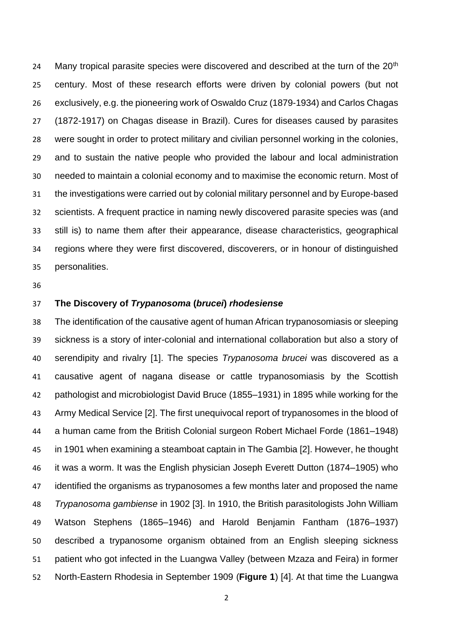24 Many tropical parasite species were discovered and described at the turn of the  $20<sup>th</sup>$  century. Most of these research efforts were driven by colonial powers (but not exclusively, e.g. the pioneering work of Oswaldo Cruz (1879-1934) and Carlos Chagas (1872-1917) on Chagas disease in Brazil). Cures for diseases caused by parasites were sought in order to protect military and civilian personnel working in the colonies, and to sustain the native people who provided the labour and local administration needed to maintain a colonial economy and to maximise the economic return. Most of the investigations were carried out by colonial military personnel and by Europe-based scientists. A frequent practice in naming newly discovered parasite species was (and still is) to name them after their appearance, disease characteristics, geographical regions where they were first discovered, discoverers, or in honour of distinguished personalities.

## **The Discovery of** *Trypanosoma* **(***brucei***)** *rhodesiense*

 The identification of the causative agent of human African trypanosomiasis or sleeping sickness is a story of inter-colonial and international collaboration but also a story of serendipity and rivalry [1]. The species *Trypanosoma brucei* was discovered as a causative agent of nagana disease or cattle trypanosomiasis by the Scottish pathologist and microbiologist David Bruce (1855–1931) in 1895 while working for the Army Medical Service [2]. The first unequivocal report of trypanosomes in the blood of a human came from the British Colonial surgeon Robert Michael Forde (1861–1948) in 1901 when examining a steamboat captain in The Gambia [2]. However, he thought it was a worm. It was the English physician Joseph Everett Dutton (1874–1905) who identified the organisms as trypanosomes a few months later and proposed the name *Trypanosoma gambiense* in 1902 [3]. In 1910, the British parasitologists John William Watson Stephens (1865–1946) and Harold Benjamin Fantham (1876–1937) described a trypanosome organism obtained from an English sleeping sickness patient who got infected in the Luangwa Valley (between Mzaza and Feira) in former North-Eastern Rhodesia in September 1909 (**Figure 1**) [4]. At that time the Luangwa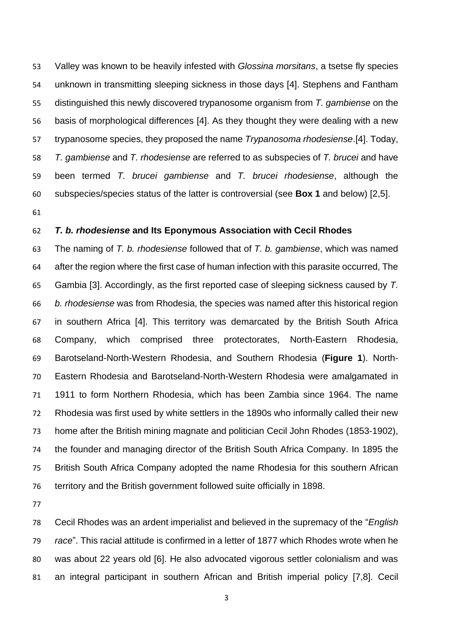Valley was known to be heavily infested with *Glossina morsitans*, a tsetse fly species unknown in transmitting sleeping sickness in those days [4]. Stephens and Fantham distinguished this newly discovered trypanosome organism from *T. gambiense* on the basis of morphological differences [4]. As they thought they were dealing with a new trypanosome species, they proposed the name *Trypanosoma rhodesiense*.[4]. Today, *T. gambiense* and *T. rhodesiense* are referred to as subspecies of *T. brucei* and have been termed *T. brucei gambiense* and *T. brucei rhodesiense*, although the subspecies/species status of the latter is controversial (see **Box 1** and below) [2,5].

## *T. b. rhodesiense* **and Its Eponymous Association with Cecil Rhodes**

 The naming of *T. b. rhodesiense* followed that of *T. b. gambiense*, which was named after the region where the first case of human infection with this parasite occurred, The Gambia [3]. Accordingly, as the first reported case of sleeping sickness caused by *T. b. rhodesiense* was from Rhodesia, the species was named after this historical region in southern Africa [4]. This territory was demarcated by the British South Africa Company, which comprised three protectorates, North-Eastern Rhodesia, [Barotseland-North-Western Rhodesia,](https://en.wikipedia.org/wiki/Barotseland-North-Western_Rhodesia) and Southern Rhodesia (**Figure 1**). North- Eastern Rhodesia and [Barotseland-North-Western Rhodesia](https://en.wikipedia.org/wiki/Barotseland-North-Western_Rhodesia) were amalgamated in 1911 to form Northern Rhodesia, which has been Zambia since 1964. The name Rhodesia was first used by white settlers in the 1890s who informally called their new home after the British mining magnate and politician Cecil John Rhodes (1853-1902), the founder and managing director of the British South Africa Company. In 1895 the British South Africa Company adopted the name Rhodesia for this southern African territory and the British government followed suite officially in 1898.

 Cecil Rhodes was an ardent imperialist and believed in the supremacy of the "*English race*". This racial attitude is confirmed in a letter of 1877 which Rhodes wrote when he was about 22 years old [6]. He also advocated vigorous settler colonialism and was an integral participant in southern African and British imperial policy [7,8]. Cecil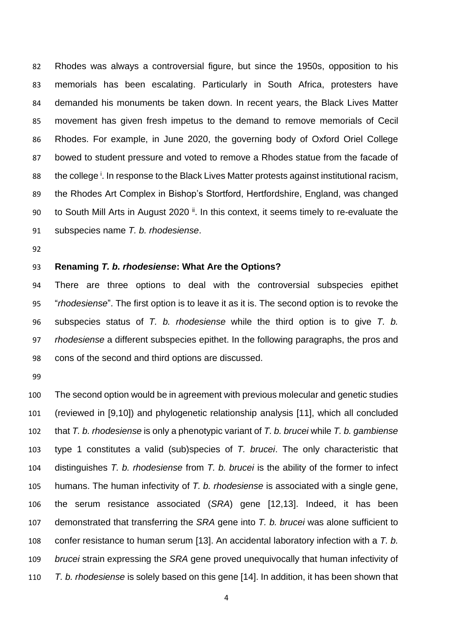Rhodes was always a controversial figure, but since the 1950s, opposition to his memorials has been escalating. Particularly in South Africa, protesters have demanded his monuments be taken down. In recent years, the Black Lives Matter movement has given fresh impetus to the demand to remove memorials of Cecil Rhodes. For example, in June 2020, the governing body of Oxford Oriel College bowed to student pressure and voted to remove a Rhodes statue from the facade of 88 the college<sup>i</sup>. In response to the Black Lives Matter protests against institutional racism, the Rhodes Art Complex in Bishop's Stortford, Hertfordshire, England, was changed to South Mill Arts in August 2020  $\mathbb{I}$ . In this context, it seems timely to re-evaluate the subspecies name *T. b. rhodesiense*.

#### **Renaming** *T. b. rhodesiense***: What Are the Options?**

 There are three options to deal with the controversial subspecies epithet "*rhodesiense*". The first option is to leave it as it is. The second option is to revoke the subspecies status of *T. b. rhodesiense* while the third option is to give *T. b. rhodesiense* a different subspecies epithet. In the following paragraphs, the pros and cons of the second and third options are discussed.

 The second option would be in agreement with previous molecular and genetic studies (reviewed in [9,10]) and phylogenetic relationship analysis [11], which all concluded that *T. b. rhodesiense* is only a phenotypic variant of *T. b. brucei* while *T. b. gambiense* type 1 constitutes a valid (sub)species of *T. brucei*. The only characteristic that distinguishes *T. b. rhodesiense* from *T. b. brucei* is the ability of the former to infect humans. The human infectivity of *T. b. rhodesiense* is associated with a single gene, the serum resistance associated (*SRA*) gene [12,13]. Indeed, it has been demonstrated that transferring the *SRA* gene into *T. b. brucei* was alone sufficient to confer resistance to human serum [13]. An accidental laboratory infection with a *T. b. brucei* strain expressing the *SRA* gene proved unequivocally that human infectivity of *T. b. rhodesiense* is solely based on this gene [14]. In addition, it has been shown that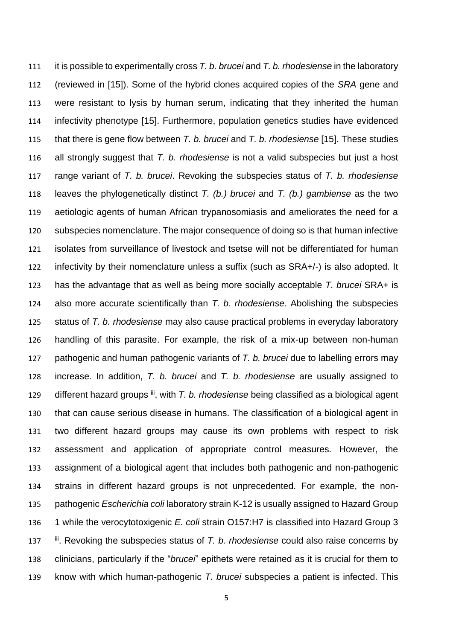it is possible to experimentally cross *T. b. brucei* and *T. b. rhodesiense* in the laboratory (reviewed in [15]). Some of the hybrid clones acquired copies of the *SRA* gene and were resistant to lysis by human serum, indicating that they inherited the human infectivity phenotype [15]. Furthermore, population genetics studies have evidenced that there is gene flow between *T. b. brucei* and *T. b. rhodesiense* [15]. These studies all strongly suggest that *T. b. rhodesiense* is not a valid subspecies but just a host range variant of *T. b. brucei*. Revoking the subspecies status of *T. b. rhodesiense* leaves the phylogenetically distinct *T. (b.) brucei* and *T. (b.) gambiense* as the two aetiologic agents of human African trypanosomiasis and ameliorates the need for a subspecies nomenclature. The major consequence of doing so is that human infective isolates from surveillance of livestock and tsetse will not be differentiated for human infectivity by their nomenclature unless a suffix (such as SRA+/-) is also adopted. It has the advantage that as well as being more socially acceptable *T. brucei* SRA+ is also more accurate scientifically than *T. b. rhodesiense*. Abolishing the subspecies status of *T. b. rhodesiense* may also cause practical problems in everyday laboratory handling of this parasite. For example, the risk of a mix-up between non-human pathogenic and human pathogenic variants of *T. b. brucei* due to labelling errors may increase. In addition, *T. b. brucei* and *T. b. rhodesiense* are usually assigned to 129 different hazard groups iii, with *T. b. rhodesiense* being classified as a biological agent that can cause serious disease in humans. The classification of a biological agent in two different hazard groups may cause its own problems with respect to risk assessment and application of appropriate control measures. However, the assignment of a biological agent that includes both pathogenic and non-pathogenic strains in different hazard groups is not unprecedented. For example, the non- pathogenic *Escherichia coli* laboratory strain K-12 is usually assigned to Hazard Group 1 while the verocytotoxigenic *E. coli* strain O157:H7 is classified into Hazard Group 3 137 <sup>iii</sup>. Revoking the subspecies status of *T. b. rhodesiense* could also raise concerns by clinicians, particularly if the "*brucei*" epithets were retained as it is crucial for them to know with which human-pathogenic *T. brucei* subspecies a patient is infected. This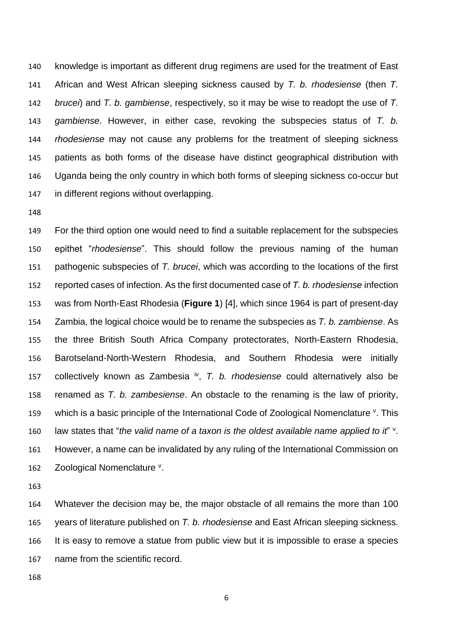knowledge is important as different drug regimens are used for the treatment of East African and West African sleeping sickness caused by *T. b. rhodesiense* (then *T. brucei*) and *T. b. gambiense*, respectively, so it may be wise to readopt the use of *T. gambiense*. However, in either case, revoking the subspecies status of *T. b. rhodesiense* may not cause any problems for the treatment of sleeping sickness patients as both forms of the disease have distinct geographical distribution with Uganda being the only country in which both forms of sleeping sickness co-occur but in different regions without overlapping.

 For the third option one would need to find a suitable replacement for the subspecies epithet "*rhodesiense*". This should follow the previous naming of the human pathogenic subspecies of *T. brucei*, which was according to the locations of the first reported cases of infection. As the first documented case of *T. b. rhodesiense* infection was from North-East Rhodesia (**Figure 1**) [4], which since 1964 is part of present-day Zambia, the logical choice would be to rename the subspecies as *T. b. zambiense*. As the three British South Africa Company protectorates, North-Eastern Rhodesia, [Barotseland-North-Western Rhodesia,](https://en.wikipedia.org/wiki/Barotseland-North-Western_Rhodesia) and Southern Rhodesia were initially 157 collectively known as Zambesia <sup>iv</sup>, T. b. rhodesiense could alternatively also be renamed as *T. b. zambesiense*. An obstacle to the renaming is the law of priority, 159 which is a basic principle of the International Code of Zoological Nomenclature  $\frac{v}{x}$ . This 160 law states that "the valid name of a taxon is the oldest available name applied to it" v. However, a name can be invalidated by any ruling of the International Commission on 162 Zoological Nomenclature <sup>v</sup>.

 Whatever the decision may be, the major obstacle of all remains the more than 100 years of literature published on *T. b. rhodesiense* and East African sleeping sickness. It is easy to remove a statue from public view but it is impossible to erase a species name from the scientific record.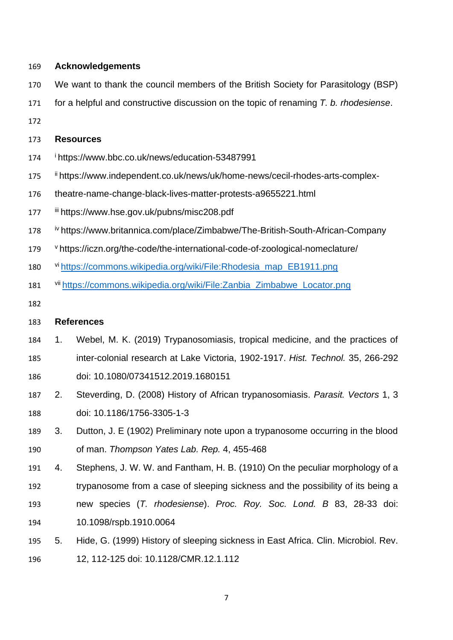## **Acknowledgements**

- We want to thank the council members of the British Society for Parasitology (BSP)
- for a helpful and constructive discussion on the topic of renaming *T. b. rhodesiense*.
- 

## **Resources**

- <sup>i</sup> https://www.bbc.co.uk/news/education-53487991
- 175 ii https://www.independent.co.uk/news/uk/home-news/cecil-rhodes-arts-complex-
- theatre-name-change-black-lives-matter-protests-a9655221.html
- 177 iii https://www.hse.gov.uk/pubns/misc208.pdf
- *iv* https://www.britannica.com/place/Zimbabwe/The-British-South-African-Company
- 179 vhttps://iczn.org/the-code/the-international-code-of-zoological-nomeclature/
- 180 vi [https://commons.wikipedia.org/wiki/File:Rhodesia\\_map\\_EB1911.png](https://commons.wikipedia.org/wiki/File:Rhodesia_map_EB1911.png)
- 181 <sup>vii</sup> [https://commons.wikipedia.org/wiki/File:Zanbia\\_Zimbabwe\\_Locator.png](https://commons.wikipedia.org/wiki/File:Zanbia_Zimbabwe_Locator.png)
- 

# **References**

- 1. Webel, M. K. (2019) Trypanosomiasis, tropical medicine, and the practices of inter-colonial research at Lake Victoria, 1902-1917. *Hist. Technol.* 35, 266-292 doi: [10.1080/07341512.2019.1680151](https://www.researchgate.net/deref/http%3A%2F%2Fdx.doi.org%2F10.1080%2F07341512.2019.1680151)
- 2. Steverding, D. (2008) History of African trypanosomiasis. *Parasit. Vectors* 1, 3 doi: 10.1186/1756-3305-1-3
- 3. Dutton, J. E (1902) Preliminary note upon a trypanosome occurring in the blood of man. *Thompson Yates Lab. Rep.* 4, 455-468
- 4. Stephens, J. W. W. and Fantham, H. B. (1910) On the peculiar morphology of a trypanosome from a case of sleeping sickness and the possibility of its being a new species (*T. rhodesiense*). *Proc. Roy. Soc. Lond. B* 83, 28-33 [doi:](https://doi.org/10.1098/rspb.1910.0064)  [10.1098/rspb.1910.0064](https://doi.org/10.1098/rspb.1910.0064)
- 5. Hide, G. (1999) History of sleeping sickness in East Africa. Clin. Microbiol. Rev. 12, 112-125 doi: 10.1128/CMR.12.1.112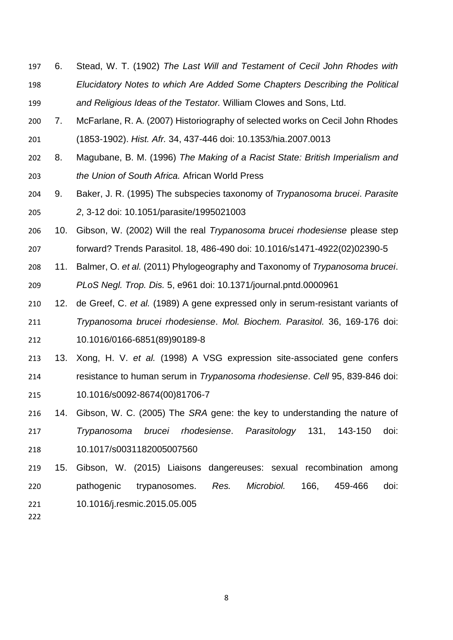- 6. Stead, W. T. (1902) *The Last Will and Testament of Cecil John Rhodes with Elucidatory Notes to which Are Added Some Chapters Describing the Political and Religious Ideas of the Testator.* William Clowes and Sons, Ltd.
- 7. McFarlane, R. A. (2007) Historiography of selected works on Cecil John Rhodes (1853-1902). *Hist. Afr.* 34, 437-446 [doi: 10.1353/hia.2007.0013](https://doi.org/10.1353/hia.2007.0013)
- 8. Magubane, B. M. (1996) *The Making of a Racist State: British Imperialism and the Union of South Africa.* African World Press
- 9. Baker, J. R. (1995) The subspecies taxonomy of *Trypanosoma brucei*. *Parasite 2*, 3-12 doi: 10.1051/parasite/1995021003
- 10. Gibson, W. (2002) Will the real *Trypanosoma brucei rhodesiense* please step forward? Trends Parasitol. 18, 486-490 doi: 10.1016/s1471-4922(02)02390-5
- 11. Balmer, O. *et al.* (2011) Phylogeography and Taxonomy of *Trypanosoma brucei*. *PLoS Negl. Trop. Dis.* 5, e961 doi: 10.1371/journal.pntd.0000961
- 12. de Greef, C. *et al.* (1989) A gene expressed only in serum-resistant variants of *Trypanosoma brucei rhodesiense*. *Mol. Biochem. Parasitol.* 36, 169-176 doi: 10.1016/0166-6851(89)90189-8
- 13. Xong, H. V. *et al.* (1998) A VSG expression site-associated gene confers resistance to human serum in *Trypanosoma rhodesiense*. *Cell* 95, 839-846 doi: 10.1016/s0092-8674(00)81706-7
- 14. Gibson, W. C. (2005) The *SRA* gene: the key to understanding the nature of *Trypanosoma brucei rhodesiense*. *Parasitology* 131, 143-150 doi: 10.1017/s0031182005007560
- 15. Gibson, W. (2015) Liaisons dangereuses: sexual recombination among pathogenic trypanosomes. *Res. Microbiol.* 166, 459-466 doi: 10.1016/j.resmic.2015.05.005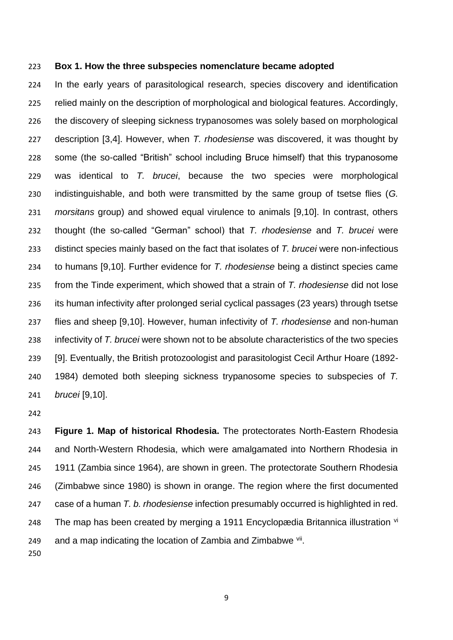#### **Box 1. How the three subspecies nomenclature became adopted**

 In the early years of parasitological research, species discovery and identification relied mainly on the description of morphological and biological features. Accordingly, the discovery of sleeping sickness trypanosomes was solely based on morphological description [3,4]. However, when *T. rhodesiense* was discovered, it was thought by some (the so-called "British" school including Bruce himself) that this trypanosome was identical to *T. brucei*, because the two species were morphological indistinguishable, and both were transmitted by the same group of tsetse flies (*G. morsitans* group) and showed equal virulence to animals [9,10]. In contrast, others thought (the so-called "German" school) that *T. rhodesiense* and *T. brucei* were distinct species mainly based on the fact that isolates of *T. brucei* were non-infectious to humans [9,10]. Further evidence for *T. rhodesiense* being a distinct species came from the Tinde experiment, which showed that a strain of *T. rhodesiense* did not lose its human infectivity after prolonged serial cyclical passages (23 years) through tsetse flies and sheep [9,10]. However, human infectivity of *T. rhodesiense* and non-human infectivity of *T. brucei* were shown not to be absolute characteristics of the two species [9]. Eventually, the British protozoologist and parasitologist Cecil Arthur Hoare (1892- 1984) demoted both sleeping sickness trypanosome species to subspecies of *T. brucei* [9,10].

 **Figure 1. Map of historical Rhodesia.** The protectorates North-Eastern Rhodesia and North-Western Rhodesia, which were amalgamated into Northern Rhodesia in 1911 (Zambia since 1964), are shown in green. The protectorate Southern Rhodesia (Zimbabwe since 1980) is shown in orange. The region where the first documented case of a human *T. b. rhodesiense* infection presumably occurred is highlighted in red. 248 The map has been created by merging a 1911 Encyclopædia Britannica illustration  $\overline{v}$ 249 and a map indicating the location of Zambia and Zimbabwe  $\frac{V}{H}$ .